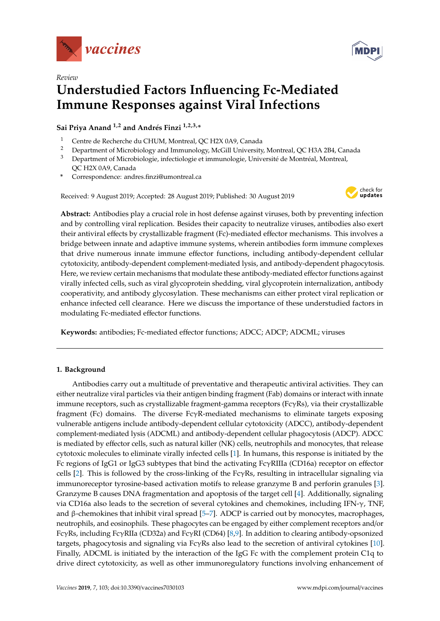



# *Review* **Understudied Factors Influencing Fc-Mediated Immune Responses against Viral Infections**

**Sai Priya Anand 1,2 and Andrés Finzi 1,2,3,\***

- <sup>1</sup> Centre de Recherche du CHUM, Montreal, QC H2X 0A9, Canada
- <sup>2</sup> Department of Microbiology and Immunology, McGill University, Montreal, QC H3A 2B4, Canada<br><sup>3</sup> Department of Microbiologie, infectiologie et immunologie. Université de Montréal, Montreal
- <sup>3</sup> Department of Microbiologie, infectiologie et immunologie, Université de Montréal, Montreal, QC H2X 0A9, Canada
- **\*** Correspondence: andres.finzi@umontreal.ca

Received: 9 August 2019; Accepted: 28 August 2019; Published: 30 August 2019



**Abstract:** Antibodies play a crucial role in host defense against viruses, both by preventing infection and by controlling viral replication. Besides their capacity to neutralize viruses, antibodies also exert their antiviral effects by crystallizable fragment (Fc)-mediated effector mechanisms. This involves a bridge between innate and adaptive immune systems, wherein antibodies form immune complexes that drive numerous innate immune effector functions, including antibody-dependent cellular cytotoxicity, antibody-dependent complement-mediated lysis, and antibody-dependent phagocytosis. Here, we review certain mechanisms that modulate these antibody-mediated effector functions against virally infected cells, such as viral glycoprotein shedding, viral glycoprotein internalization, antibody cooperativity, and antibody glycosylation. These mechanisms can either protect viral replication or enhance infected cell clearance. Here we discuss the importance of these understudied factors in modulating Fc-mediated effector functions.

**Keywords:** antibodies; Fc-mediated effector functions; ADCC; ADCP; ADCML; viruses

### **1. Background**

Antibodies carry out a multitude of preventative and therapeutic antiviral activities. They can either neutralize viral particles via their antigen binding fragment (Fab) domains or interact with innate immune receptors, such as crystallizable fragment-gamma receptors (FcγRs), via their crystallizable fragment (Fc) domains. The diverse  $Fc\gamma R$ -mediated mechanisms to eliminate targets exposing vulnerable antigens include antibody-dependent cellular cytotoxicity (ADCC), antibody-dependent complement-mediated lysis (ADCML) and antibody-dependent cellular phagocytosis (ADCP). ADCC is mediated by effector cells, such as natural killer (NK) cells, neutrophils and monocytes, that release cytotoxic molecules to eliminate virally infected cells [\[1\]](#page-5-0). In humans, this response is initiated by the Fc regions of IgG1 or IgG3 subtypes that bind the activating FcγRIIIa (CD16a) receptor on effector cells [\[2\]](#page-5-1). This is followed by the cross-linking of the FcγRs, resulting in intracellular signaling via immunoreceptor tyrosine-based activation motifs to release granzyme B and perforin granules [\[3\]](#page-5-2). Granzyme B causes DNA fragmentation and apoptosis of the target cell [\[4\]](#page-5-3). Additionally, signaling via CD16a also leads to the secretion of several cytokines and chemokines, including IFN- $\gamma$ , TNF, and β-chemokines that inhibit viral spread  $[5–7]$  $[5–7]$ . ADCP is carried out by monocytes, macrophages, neutrophils, and eosinophils. These phagocytes can be engaged by either complement receptors and/or FcγRs, including FcγRIIa (CD32a) and FcγRI (CD64) [\[8](#page-6-1)[,9\]](#page-6-2). In addition to clearing antibody-opsonized targets, phagocytosis and signaling via FcγRs also lead to the secretion of antiviral cytokines [\[10\]](#page-6-3). Finally, ADCML is initiated by the interaction of the IgG Fc with the complement protein C1q to drive direct cytotoxicity, as well as other immunoregulatory functions involving enhancement of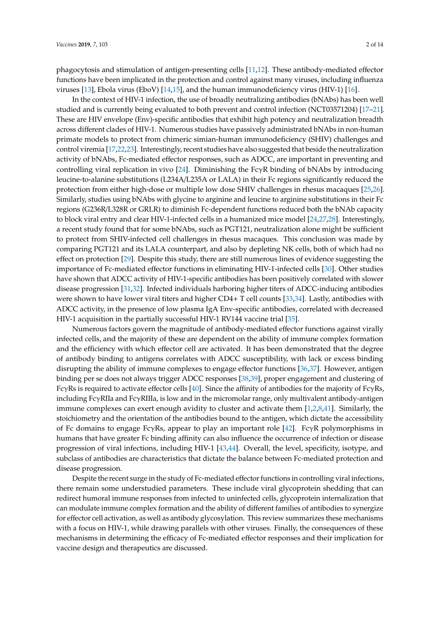phagocytosis and stimulation of antigen-presenting cells [\[11,](#page-6-4)[12\]](#page-6-5). These antibody-mediated effector functions have been implicated in the protection and control against many viruses, including influenza viruses [\[13\]](#page-6-6), Ebola virus (EboV) [\[14,](#page-6-7)[15\]](#page-6-8), and the human immunodeficiency virus (HIV-1) [\[16\]](#page-6-9).

In the context of HIV-1 infection, the use of broadly neutralizing antibodies (bNAbs) has been well studied and is currently being evaluated to both prevent and control infection (NCT03571204) [\[17–](#page-6-10)[21\]](#page-6-11). These are HIV envelope (Env)-specific antibodies that exhibit high potency and neutralization breadth across different clades of HIV-1. Numerous studies have passively administrated bNAbs in non-human primate models to protect from chimeric simian-human immunodeficiency (SHIV) challenges and control viremia [\[17,](#page-6-10)[22](#page-6-12)[,23\]](#page-6-13). Interestingly, recent studies have also suggested that beside the neutralization activity of bNAbs, Fc-mediated effector responses, such as ADCC, are important in preventing and controlling viral replication in vivo [\[24\]](#page-6-14). Diminishing the FcγR binding of bNAbs by introducing leucine-to-alanine substitutions (L234A/L235A or LALA) in their Fc regions significantly reduced the protection from either high-dose or multiple low dose SHIV challenges in rhesus macaques [\[25,](#page-7-0)[26\]](#page-7-1). Similarly, studies using bNAbs with glycine to arginine and leucine to arginine substitutions in their Fc regions (G236R/L328R or GRLR) to diminish Fc-dependent functions reduced both the bNAb capacity to block viral entry and clear HIV-1-infected cells in a humanized mice model [\[24](#page-6-14)[,27](#page-7-2)[,28\]](#page-7-3). Interestingly, a recent study found that for some bNAbs, such as PGT121, neutralization alone might be sufficient to protect from SHIV-infected cell challenges in rhesus macaques. This conclusion was made by comparing PGT121 and its LALA counterpart, and also by depleting NK cells, both of which had no effect on protection [\[29\]](#page-7-4). Despite this study, there are still numerous lines of evidence suggesting the importance of Fc-mediated effector functions in eliminating HIV-1-infected cells [\[30\]](#page-7-5). Other studies have shown that ADCC activity of HIV-1-specific antibodies has been positively correlated with slower disease progression [\[31](#page-7-6)[,32\]](#page-7-7). Infected individuals harboring higher titers of ADCC-inducing antibodies were shown to have lower viral titers and higher CD4+ T cell counts [\[33](#page-7-8)[,34\]](#page-7-9). Lastly, antibodies with ADCC activity, in the presence of low plasma IgA Env-specific antibodies, correlated with decreased HIV-1 acquisition in the partially successful HIV-1 RV144 vaccine trial [\[35\]](#page-7-10).

Numerous factors govern the magnitude of antibody-mediated effector functions against virally infected cells, and the majority of these are dependent on the ability of immune complex formation and the efficiency with which effector cell are activated. It has been demonstrated that the degree of antibody binding to antigens correlates with ADCC susceptibility, with lack or excess binding disrupting the ability of immune complexes to engage effector functions [\[36](#page-7-11)[,37\]](#page-7-12). However, antigen binding per se does not always trigger ADCC responses [\[38,](#page-7-13)[39\]](#page-7-14), proper engagement and clustering of FcγRs is required to activate effector cells [\[40\]](#page-7-15). Since the affinity of antibodies for the majority of FcγRs, including FcγRIIa and FcγRIIIa, is low and in the micromolar range, only multivalent antibody-antigen immune complexes can exert enough avidity to cluster and activate them [\[1](#page-5-0)[,2](#page-5-1)[,8](#page-6-1)[,41\]](#page-7-16). Similarly, the stoichiometry and the orientation of the antibodies bound to the antigen, which dictate the accessibility of Fc domains to engage FcγRs, appear to play an important role [\[42\]](#page-7-17). FcγR polymorphisms in humans that have greater Fc binding affinity can also influence the occurrence of infection or disease progression of viral infections, including HIV-1 [\[43,](#page-8-0)[44\]](#page-8-1). Overall, the level, specificity, isotype, and subclass of antibodies are characteristics that dictate the balance between Fc-mediated protection and disease progression.

Despite the recent surge in the study of Fc-mediated effector functions in controlling viral infections, there remain some understudied parameters. These include viral glycoprotein shedding that can redirect humoral immune responses from infected to uninfected cells, glycoprotein internalization that can modulate immune complex formation and the ability of different families of antibodies to synergize for effector cell activation, as well as antibody glycosylation. This review summarizes these mechanisms with a focus on HIV-1, while drawing parallels with other viruses. Finally, the consequences of these mechanisms in determining the efficacy of Fc-mediated effector responses and their implication for vaccine design and therapeutics are discussed.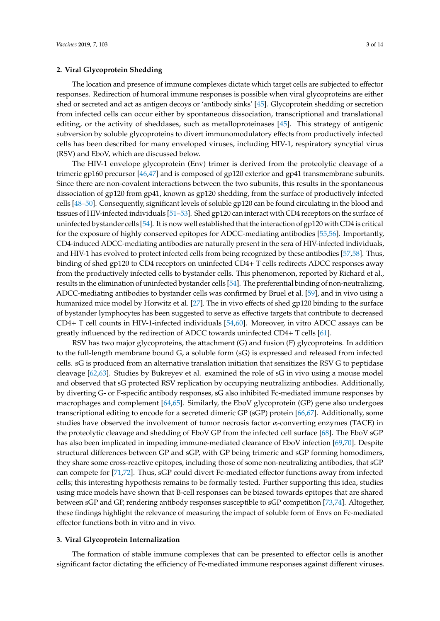## **2. Viral Glycoprotein Shedding**

The location and presence of immune complexes dictate which target cells are subjected to effector

responses. Redirection of humoral immune responses is possible when viral glycoproteins are either shed or secreted and act as antigen decoys or 'antibody sinks' [\[45\]](#page-8-2). Glycoprotein shedding or secretion from infected cells can occur either by spontaneous dissociation, transcriptional and translational editing, or the activity of sheddases, such as metalloproteinases [\[45\]](#page-8-2). This strategy of antigenic subversion by soluble glycoproteins to divert immunomodulatory effects from productively infected cells has been described for many enveloped viruses, including HIV-1, respiratory syncytial virus (RSV) and EboV, which are discussed below.

The HIV-1 envelope glycoprotein (Env) trimer is derived from the proteolytic cleavage of a trimeric gp160 precursor [\[46](#page-8-3)[,47\]](#page-8-4) and is composed of gp120 exterior and gp41 transmembrane subunits. Since there are non-covalent interactions between the two subunits, this results in the spontaneous dissociation of gp120 from gp41, known as gp120 shedding, from the surface of productively infected cells [\[48–](#page-8-5)[50\]](#page-8-6). Consequently, significant levels of soluble gp120 can be found circulating in the blood and tissues of HIV-infected individuals [\[51](#page-8-7)[–53\]](#page-8-8). Shed gp120 can interact with CD4 receptors on the surface of uninfected bystander cells [\[54\]](#page-8-9). It is now well established that the interaction of gp120 with CD4 is critical for the exposure of highly conserved epitopes for ADCC-mediating antibodies [\[55,](#page-8-10)[56\]](#page-8-11). Importantly, CD4-induced ADCC-mediating antibodies are naturally present in the sera of HIV-infected individuals, and HIV-1 has evolved to protect infected cells from being recognized by these antibodies [\[57](#page-8-12)[,58\]](#page-8-13). Thus, binding of shed gp120 to CD4 receptors on uninfected CD4+ T cells redirects ADCC responses away from the productively infected cells to bystander cells. This phenomenon, reported by Richard et al., results in the elimination of uninfected bystander cells [\[54\]](#page-8-9). The preferential binding of non-neutralizing, ADCC-mediating antibodies to bystander cells was confirmed by Bruel et al. [\[59\]](#page-8-14), and in vivo using a humanized mice model by Horwitz et al. [\[27\]](#page-7-2). The in vivo effects of shed gp120 binding to the surface of bystander lymphocytes has been suggested to serve as effective targets that contribute to decreased CD4+ T cell counts in HIV-1-infected individuals [\[54](#page-8-9)[,60\]](#page-8-15). Moreover, in vitro ADCC assays can be greatly influenced by the redirection of ADCC towards uninfected CD4+ T cells [\[61\]](#page-9-0).

RSV has two major glycoproteins, the attachment (G) and fusion (F) glycoproteins. In addition to the full-length membrane bound G, a soluble form (sG) is expressed and released from infected cells. sG is produced from an alternative translation initiation that sensitizes the RSV G to peptidase cleavage [\[62,](#page-9-1)[63\]](#page-9-2). Studies by Bukreyev et al. examined the role of sG in vivo using a mouse model and observed that sG protected RSV replication by occupying neutralizing antibodies. Additionally, by diverting G- or F-specific antibody responses, sG also inhibited Fc-mediated immune responses by macrophages and complement [\[64](#page-9-3)[,65\]](#page-9-4). Similarly, the EboV glycoprotein (GP) gene also undergoes transcriptional editing to encode for a secreted dimeric GP (sGP) protein [\[66,](#page-9-5)[67\]](#page-9-6). Additionally, some studies have observed the involvement of tumor necrosis factor α-converting enzymes (TACE) in the proteolytic cleavage and shedding of EboV GP from the infected cell surface [\[68\]](#page-9-7). The EboV sGP has also been implicated in impeding immune-mediated clearance of EboV infection [\[69](#page-9-8)[,70\]](#page-9-9). Despite structural differences between GP and sGP, with GP being trimeric and sGP forming homodimers, they share some cross-reactive epitopes, including those of some non-neutralizing antibodies, that sGP can compete for [\[71](#page-9-10)[,72\]](#page-9-11). Thus, sGP could divert Fc-mediated effector functions away from infected cells; this interesting hypothesis remains to be formally tested. Further supporting this idea, studies using mice models have shown that B-cell responses can be biased towards epitopes that are shared between sGP and GP, rendering antibody responses susceptible to sGP competition [\[73](#page-9-12)[,74\]](#page-9-13). Altogether, these findings highlight the relevance of measuring the impact of soluble form of Envs on Fc-mediated effector functions both in vitro and in vivo.

#### **3. Viral Glycoprotein Internalization**

The formation of stable immune complexes that can be presented to effector cells is another significant factor dictating the efficiency of Fc-mediated immune responses against different viruses.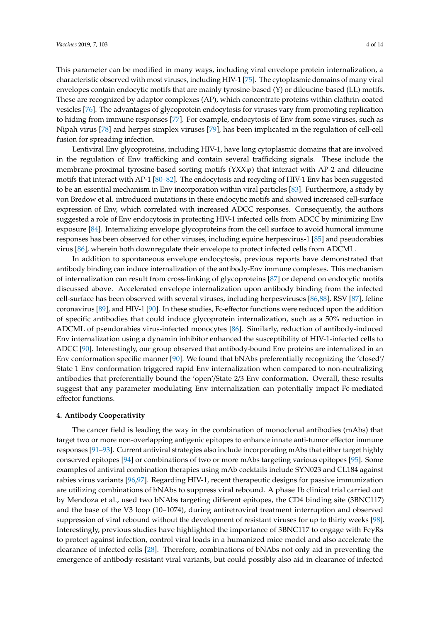This parameter can be modified in many ways, including viral envelope protein internalization, a characteristic observed with most viruses, including HIV-1 [\[75\]](#page-9-14). The cytoplasmic domains of many viral envelopes contain endocytic motifs that are mainly tyrosine-based (Y) or dileucine-based (LL) motifs. These are recognized by adaptor complexes (AP), which concentrate proteins within clathrin-coated vesicles [\[76\]](#page-9-15). The advantages of glycoprotein endocytosis for viruses vary from promoting replication to hiding from immune responses [\[77\]](#page-9-16). For example, endocytosis of Env from some viruses, such as Nipah virus [\[78\]](#page-9-17) and herpes simplex viruses [\[79\]](#page-9-18), has been implicated in the regulation of cell-cell fusion for spreading infection.

Lentiviral Env glycoproteins, including HIV-1, have long cytoplasmic domains that are involved in the regulation of Env trafficking and contain several trafficking signals. These include the membrane-proximal tyrosine-based sorting motifs  $(YXX\varphi)$  that interact with AP-2 and dileucine motifs that interact with AP-1 [\[80–](#page-10-0)[82\]](#page-10-1). The endocytosis and recycling of HIV-1 Env has been suggested to be an essential mechanism in Env incorporation within viral particles [\[83\]](#page-10-2). Furthermore, a study by von Bredow et al. introduced mutations in these endocytic motifs and showed increased cell-surface expression of Env, which correlated with increased ADCC responses. Consequently, the authors suggested a role of Env endocytosis in protecting HIV-1 infected cells from ADCC by minimizing Env exposure [\[84\]](#page-10-3). Internalizing envelope glycoproteins from the cell surface to avoid humoral immune responses has been observed for other viruses, including equine herpesvirus-1 [\[85\]](#page-10-4) and pseudorabies virus [\[86\]](#page-10-5), wherein both downregulate their envelope to protect infected cells from ADCML.

In addition to spontaneous envelope endocytosis, previous reports have demonstrated that antibody binding can induce internalization of the antibody-Env immune complexes. This mechanism of internalization can result from cross-linking of glycoproteins [\[87\]](#page-10-6) or depend on endocytic motifs discussed above. Accelerated envelope internalization upon antibody binding from the infected cell-surface has been observed with several viruses, including herpesviruses [\[86](#page-10-5)[,88\]](#page-10-7), RSV [\[87\]](#page-10-6), feline coronavirus [\[89\]](#page-10-8), and HIV-1 [\[90\]](#page-10-9). In these studies, Fc-effector functions were reduced upon the addition of specific antibodies that could induce glycoprotein internalization, such as a 50% reduction in ADCML of pseudorabies virus-infected monocytes [\[86\]](#page-10-5). Similarly, reduction of antibody-induced Env internalization using a dynamin inhibitor enhanced the susceptibility of HIV-1-infected cells to ADCC [\[90\]](#page-10-9). Interestingly, our group observed that antibody-bound Env proteins are internalized in an Env conformation specific manner [\[90\]](#page-10-9). We found that bNAbs preferentially recognizing the 'closed'/ State 1 Env conformation triggered rapid Env internalization when compared to non-neutralizing antibodies that preferentially bound the 'open'/State 2/3 Env conformation. Overall, these results suggest that any parameter modulating Env internalization can potentially impact Fc-mediated effector functions.

#### **4. Antibody Cooperativity**

The cancer field is leading the way in the combination of monoclonal antibodies (mAbs) that target two or more non-overlapping antigenic epitopes to enhance innate anti-tumor effector immune responses [\[91](#page-10-10)[–93\]](#page-10-11). Current antiviral strategies also include incorporating mAbs that either target highly conserved epitopes [\[94\]](#page-10-12) or combinations of two or more mAbs targeting various epitopes [\[95\]](#page-10-13). Some examples of antiviral combination therapies using mAb cocktails include SYN023 and CL184 against rabies virus variants [\[96](#page-10-14)[,97\]](#page-11-0). Regarding HIV-1, recent therapeutic designs for passive immunization are utilizing combinations of bNAbs to suppress viral rebound. A phase 1b clinical trial carried out by Mendoza et al., used two bNAbs targeting different epitopes, the CD4 binding site (3BNC117) and the base of the V3 loop (10–1074), during antiretroviral treatment interruption and observed suppression of viral rebound without the development of resistant viruses for up to thirty weeks [\[98\]](#page-11-1). Interestingly, previous studies have highlighted the importance of 3BNC117 to engage with FcγRs to protect against infection, control viral loads in a humanized mice model and also accelerate the clearance of infected cells [\[28\]](#page-7-3). Therefore, combinations of bNAbs not only aid in preventing the emergence of antibody-resistant viral variants, but could possibly also aid in clearance of infected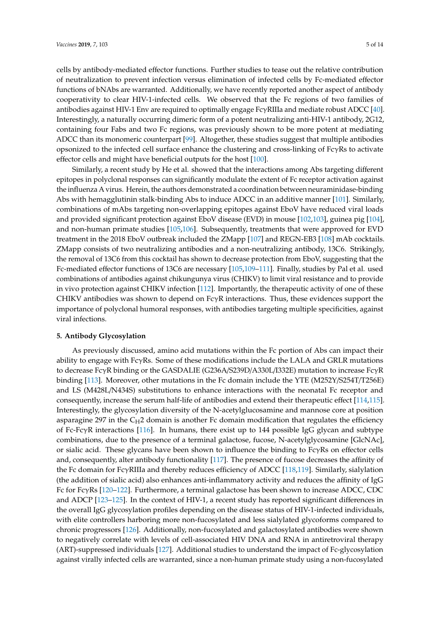cells by antibody-mediated effector functions. Further studies to tease out the relative contribution of neutralization to prevent infection versus elimination of infected cells by Fc-mediated effector functions of bNAbs are warranted. Additionally, we have recently reported another aspect of antibody cooperativity to clear HIV-1-infected cells. We observed that the Fc regions of two families of antibodies against HIV-1 Env are required to optimally engage FcγRIIIa and mediate robust ADCC [\[40\]](#page-7-15). Interestingly, a naturally occurring dimeric form of a potent neutralizing anti-HIV-1 antibody, 2G12, containing four Fabs and two Fc regions, was previously shown to be more potent at mediating ADCC than its monomeric counterpart [\[99\]](#page-11-2). Altogether, these studies suggest that multiple antibodies opsonized to the infected cell surface enhance the clustering and cross-linking of FcγRs to activate effector cells and might have beneficial outputs for the host [\[100\]](#page-11-3).

Similarly, a recent study by He et al. showed that the interactions among Abs targeting different epitopes in polyclonal responses can significantly modulate the extent of Fc receptor activation against the influenza A virus. Herein, the authors demonstrated a coordination between neuraminidase-binding Abs with hemagglutinin stalk-binding Abs to induce ADCC in an additive manner [\[101\]](#page-11-4). Similarly, combinations of mAbs targeting non-overlapping epitopes against EboV have reduced viral loads and provided significant protection against EboV disease (EVD) in mouse [\[102](#page-11-5)[,103\]](#page-11-6), guinea pig [\[104\]](#page-11-7), and non-human primate studies [\[105](#page-11-8)[,106\]](#page-11-9). Subsequently, treatments that were approved for EVD treatment in the 2018 EboV outbreak included the ZMapp [\[107\]](#page-11-10) and REGN-EB3 [\[108\]](#page-11-11) mAb cocktails. ZMapp consists of two neutralizing antibodies and a non-neutralizing antibody, 13C6. Strikingly, the removal of 13C6 from this cocktail has shown to decrease protection from EboV, suggesting that the Fc-mediated effector functions of 13C6 are necessary [\[105,](#page-11-8)[109–](#page-11-12)[111\]](#page-11-13). Finally, studies by Pal et al. used combinations of antibodies against chikungunya virus (CHIKV) to limit viral resistance and to provide in vivo protection against CHIKV infection [\[112\]](#page-11-14). Importantly, the therapeutic activity of one of these CHIKV antibodies was shown to depend on  $Fc\gamma R$  interactions. Thus, these evidences support the importance of polyclonal humoral responses, with antibodies targeting multiple specificities, against viral infections.

#### **5. Antibody Glycosylation**

As previously discussed, amino acid mutations within the Fc portion of Abs can impact their ability to engage with FcγRs. Some of these modifications include the LALA and GRLR mutations to decrease FcγR binding or the GASDALIE (G236A/S239D/A330L/I332E) mutation to increase FcγR binding [\[113\]](#page-11-15). Moreover, other mutations in the Fc domain include the YTE (M252Y/S254T/T256E) and LS (M428L/N434S) substitutions to enhance interactions with the neonatal Fc receptor and consequently, increase the serum half-life of antibodies and extend their therapeutic effect [\[114,](#page-11-16)[115\]](#page-12-0). Interestingly, the glycosylation diversity of the N-acetylglucosamine and mannose core at position asparagine 297 in the  $C_{H2}$  domain is another Fc domain modification that regulates the efficiency of Fc-FcγR interactions [\[116\]](#page-12-1). In humans, there exist up to 144 possible IgG glycan and subtype combinations, due to the presence of a terminal galactose, fucose, N-acetylglycosamine [GlcNAc], or sialic acid. These glycans have been shown to influence the binding to  $Fc<sub>Y</sub>Rs$  on effector cells and, consequently, alter antibody functionality [\[117\]](#page-12-2). The presence of fucose decreases the affinity of the Fc domain for FcγRIIIa and thereby reduces efficiency of ADCC [\[118](#page-12-3)[,119\]](#page-12-4). Similarly, sialylation (the addition of sialic acid) also enhances anti-inflammatory activity and reduces the affinity of IgG Fc for FcγRs [\[120–](#page-12-5)[122\]](#page-12-6). Furthermore, a terminal galactose has been shown to increase ADCC, CDC and ADCP [\[123–](#page-12-7)[125\]](#page-12-8). In the context of HIV-1, a recent study has reported significant differences in the overall IgG glycosylation profiles depending on the disease status of HIV-1-infected individuals, with elite controllers harboring more non-fucosylated and less sialylated glycoforms compared to chronic progressors [\[126\]](#page-12-9). Additionally, non-fucosylated and galactosylated antibodies were shown to negatively correlate with levels of cell-associated HIV DNA and RNA in antiretroviral therapy (ART)-suppressed individuals [\[127\]](#page-12-10). Additional studies to understand the impact of Fc-glycosylation against virally infected cells are warranted, since a non-human primate study using a non-fucosylated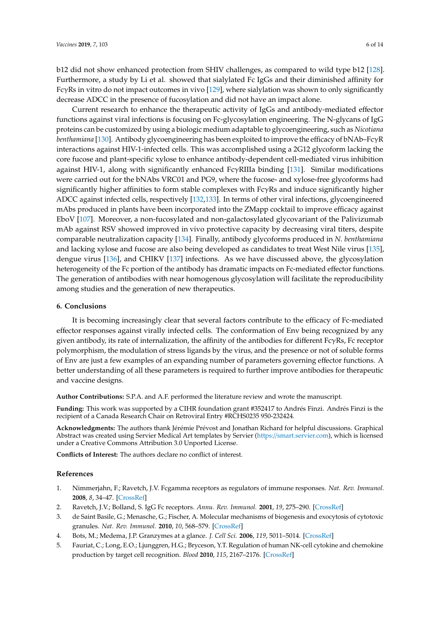b12 did not show enhanced protection from SHIV challenges, as compared to wild type b12 [\[128\]](#page-12-11). Furthermore, a study by Li et al. showed that sialylated Fc IgGs and their diminished affinity for Fc $\gamma$ Rs in vitro do not impact outcomes in vivo [\[129\]](#page-12-12), where sialylation was shown to only significantly decrease ADCC in the presence of fucosylation and did not have an impact alone.

Current research to enhance the therapeutic activity of IgGs and antibody-mediated effector functions against viral infections is focusing on Fc-glycosylation engineering. The N-glycans of IgG proteins can be customized by using a biologic medium adaptable to glycoengineering, such as *Nicotiana benthamiana* [\[130\]](#page-12-13). Antibody glycoengineering has been exploited to improve the efficacy of bNAb–FcγR interactions against HIV-1-infected cells. This was accomplished using a 2G12 glycoform lacking the core fucose and plant-specific xylose to enhance antibody-dependent cell-mediated virus inhibition against HIV-1, along with significantly enhanced FcγRIIIa binding [\[131\]](#page-12-14). Similar modifications were carried out for the bNAbs VRC01 and PG9, where the fucose- and xylose-free glycoforms had significantly higher affinities to form stable complexes with FcγRs and induce significantly higher ADCC against infected cells, respectively [\[132,](#page-12-15)[133\]](#page-13-0). In terms of other viral infections, glycoengineered mAbs produced in plants have been incorporated into the ZMapp cocktail to improve efficacy against EboV [\[107\]](#page-11-10). Moreover, a non-fucosylated and non-galactosylated glycovariant of the Palivizumab mAb against RSV showed improved in vivo protective capacity by decreasing viral titers, despite comparable neutralization capacity [\[134\]](#page-13-1). Finally, antibody glycoforms produced in *N. benthamiana* and lacking xylose and fucose are also being developed as candidates to treat West Nile virus [\[135\]](#page-13-2), dengue virus [\[136\]](#page-13-3), and CHIKV [\[137\]](#page-13-4) infections. As we have discussed above, the glycosylation heterogeneity of the Fc portion of the antibody has dramatic impacts on Fc-mediated effector functions. The generation of antibodies with near homogenous glycosylation will facilitate the reproducibility among studies and the generation of new therapeutics.

#### **6. Conclusions**

It is becoming increasingly clear that several factors contribute to the efficacy of Fc-mediated effector responses against virally infected cells. The conformation of Env being recognized by any given antibody, its rate of internalization, the affinity of the antibodies for different  $Fc\gamma Rs$ , Fc receptor polymorphism, the modulation of stress ligands by the virus, and the presence or not of soluble forms of Env are just a few examples of an expanding number of parameters governing effector functions. A better understanding of all these parameters is required to further improve antibodies for therapeutic and vaccine designs.

**Author Contributions:** S.P.A. and A.F. performed the literature review and wrote the manuscript.

**Funding:** This work was supported by a CIHR foundation grant #352417 to Andrés Finzi. Andrés Finzi is the recipient of a Canada Research Chair on Retroviral Entry #RCHS0235 950-232424.

**Acknowledgments:** The authors thank Jérémie Prévost and Jonathan Richard for helpful discussions. Graphical Abstract was created using Servier Medical Art templates by Servier (https://[smart.servier.com\)](https://smart.servier.com), which is licensed under a Creative Commons Attribution 3.0 Unported License.

**Conflicts of Interest:** The authors declare no conflict of interest.

#### **References**

- <span id="page-5-0"></span>1. Nimmerjahn, F.; Ravetch, J.V. Fcgamma receptors as regulators of immune responses. *Nat. Rev. Immunol.* **2008**, *8*, 34–47. [\[CrossRef\]](http://dx.doi.org/10.1038/nri2206)
- <span id="page-5-1"></span>2. Ravetch, J.V.; Bolland, S. IgG Fc receptors. *Annu. Rev. Immunol.* **2001**, *19*, 275–290. [\[CrossRef\]](http://dx.doi.org/10.1146/annurev.immunol.19.1.275)
- <span id="page-5-2"></span>3. de Saint Basile, G.; Menasche, G.; Fischer, A. Molecular mechanisms of biogenesis and exocytosis of cytotoxic granules. *Nat. Rev. Immunol.* **2010**, *10*, 568–579. [\[CrossRef\]](http://dx.doi.org/10.1038/nri2803)
- <span id="page-5-4"></span><span id="page-5-3"></span>4. Bots, M.; Medema, J.P. Granzymes at a glance. *J. Cell Sci.* **2006**, *119*, 5011–5014. [\[CrossRef\]](http://dx.doi.org/10.1242/jcs.03239)
- 5. Fauriat, C.; Long, E.O.; Ljunggren, H.G.; Bryceson, Y.T. Regulation of human NK-cell cytokine and chemokine production by target cell recognition. *Blood* **2010**, *115*, 2167–2176. [\[CrossRef\]](http://dx.doi.org/10.1182/blood-2009-08-238469)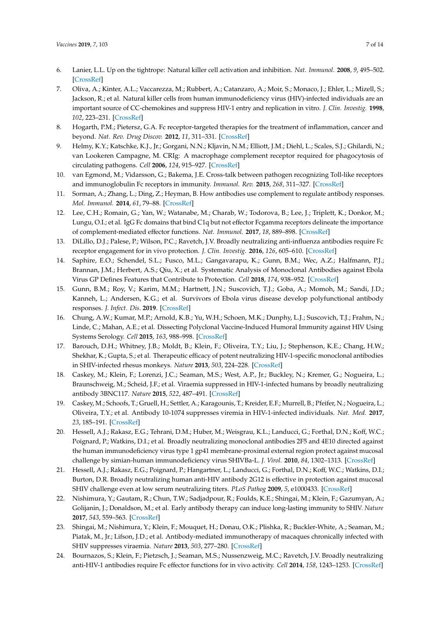- 6. Lanier, L.L. Up on the tightrope: Natural killer cell activation and inhibition. *Nat. Immunol.* **2008**, *9*, 495–502. [\[CrossRef\]](http://dx.doi.org/10.1038/ni1581)
- <span id="page-6-0"></span>7. Oliva, A.; Kinter, A.L.; Vaccarezza, M.; Rubbert, A.; Catanzaro, A.; Moir, S.; Monaco, J.; Ehler, L.; Mizell, S.; Jackson, R.; et al. Natural killer cells from human immunodeficiency virus (HIV)-infected individuals are an important source of CC-chemokines and suppress HIV-1 entry and replication in vitro. *J. Clin. Investig.* **1998**, *102*, 223–231. [\[CrossRef\]](http://dx.doi.org/10.1172/JCI2323)
- <span id="page-6-1"></span>8. Hogarth, P.M.; Pietersz, G.A. Fc receptor-targeted therapies for the treatment of inflammation, cancer and beyond. *Nat. Rev. Drug Discov.* **2012**, *11*, 311–331. [\[CrossRef\]](http://dx.doi.org/10.1038/nrd2909)
- <span id="page-6-2"></span>9. Helmy, K.Y.; Katschke, K.J., Jr.; Gorgani, N.N.; Kljavin, N.M.; Elliott, J.M.; Diehl, L.; Scales, S.J.; Ghilardi, N.; van Lookeren Campagne, M. CRIg: A macrophage complement receptor required for phagocytosis of circulating pathogens. *Cell* **2006**, *124*, 915–927. [\[CrossRef\]](http://dx.doi.org/10.1016/j.cell.2005.12.039)
- <span id="page-6-3"></span>10. van Egmond, M.; Vidarsson, G.; Bakema, J.E. Cross-talk between pathogen recognizing Toll-like receptors and immunoglobulin Fc receptors in immunity. *Immunol. Rev.* **2015**, *268*, 311–327. [\[CrossRef\]](http://dx.doi.org/10.1111/imr.12333)
- <span id="page-6-4"></span>11. Sorman, A.; Zhang, L.; Ding, Z.; Heyman, B. How antibodies use complement to regulate antibody responses. *Mol. Immunol.* **2014**, *61*, 79–88. [\[CrossRef\]](http://dx.doi.org/10.1016/j.molimm.2014.06.010)
- <span id="page-6-5"></span>12. Lee, C.H.; Romain, G.; Yan, W.; Watanabe, M.; Charab, W.; Todorova, B.; Lee, J.; Triplett, K.; Donkor, M.; Lungu, O.I.; et al. IgG Fc domains that bind C1q but not effector Fcgamma receptors delineate the importance of complement-mediated effector functions. *Nat. Immunol.* **2017**, *18*, 889–898. [\[CrossRef\]](http://dx.doi.org/10.1038/ni.3770)
- <span id="page-6-6"></span>13. DiLillo, D.J.; Palese, P.; Wilson, P.C.; Ravetch, J.V. Broadly neutralizing anti-influenza antibodies require Fc receptor engagement for in vivo protection. *J. Clin. Investig.* **2016**, *126*, 605–610. [\[CrossRef\]](http://dx.doi.org/10.1172/JCI84428)
- <span id="page-6-7"></span>14. Saphire, E.O.; Schendel, S.L.; Fusco, M.L.; Gangavarapu, K.; Gunn, B.M.; Wec, A.Z.; Halfmann, P.J.; Brannan, J.M.; Herbert, A.S.; Qiu, X.; et al. Systematic Analysis of Monoclonal Antibodies against Ebola Virus GP Defines Features that Contribute to Protection. *Cell* **2018**, *174*, 938–952. [\[CrossRef\]](http://dx.doi.org/10.1016/j.cell.2018.07.033)
- <span id="page-6-8"></span>15. Gunn, B.M.; Roy, V.; Karim, M.M.; Hartnett, J.N.; Suscovich, T.J.; Goba, A.; Momoh, M.; Sandi, J.D.; Kanneh, L.; Andersen, K.G.; et al. Survivors of Ebola virus disease develop polyfunctional antibody responses. *J. Infect. Dis.* **2019**. [\[CrossRef\]](http://dx.doi.org/10.1093/infdis/jiz364)
- <span id="page-6-9"></span>16. Chung, A.W.; Kumar, M.P.; Arnold, K.B.; Yu, W.H.; Schoen, M.K.; Dunphy, L.J.; Suscovich, T.J.; Frahm, N.; Linde, C.; Mahan, A.E.; et al. Dissecting Polyclonal Vaccine-Induced Humoral Immunity against HIV Using Systems Serology. *Cell* **2015**, *163*, 988–998. [\[CrossRef\]](http://dx.doi.org/10.1016/j.cell.2015.10.027)
- <span id="page-6-10"></span>17. Barouch, D.H.; Whitney, J.B.; Moldt, B.; Klein, F.; Oliveira, T.Y.; Liu, J.; Stephenson, K.E.; Chang, H.W.; Shekhar, K.; Gupta, S.; et al. Therapeutic efficacy of potent neutralizing HIV-1-specific monoclonal antibodies in SHIV-infected rhesus monkeys. *Nature* **2013**, *503*, 224–228. [\[CrossRef\]](http://dx.doi.org/10.1038/nature12744)
- 18. Caskey, M.; Klein, F.; Lorenzi, J.C.; Seaman, M.S.; West, A.P., Jr.; Buckley, N.; Kremer, G.; Nogueira, L.; Braunschweig, M.; Scheid, J.F.; et al. Viraemia suppressed in HIV-1-infected humans by broadly neutralizing antibody 3BNC117. *Nature* **2015**, *522*, 487–491. [\[CrossRef\]](http://dx.doi.org/10.1038/nature14411)
- 19. Caskey, M.; Schoofs, T.; Gruell, H.; Settler, A.; Karagounis, T.; Kreider, E.F.; Murrell, B.; Pfeifer, N.; Nogueira, L.; Oliveira, T.Y.; et al. Antibody 10-1074 suppresses viremia in HIV-1-infected individuals. *Nat. Med.* **2017**, *23*, 185–191. [\[CrossRef\]](http://dx.doi.org/10.1038/nm.4268)
- 20. Hessell, A.J.; Rakasz, E.G.; Tehrani, D.M.; Huber, M.; Weisgrau, K.L.; Landucci, G.; Forthal, D.N.; Koff, W.C.; Poignard, P.; Watkins, D.I.; et al. Broadly neutralizing monoclonal antibodies 2F5 and 4E10 directed against the human immunodeficiency virus type 1 gp41 membrane-proximal external region protect against mucosal challenge by simian-human immunodeficiency virus SHIVBa-L. *J. Virol.* **2010**, *84*, 1302–1313. [\[CrossRef\]](http://dx.doi.org/10.1128/JVI.01272-09)
- <span id="page-6-11"></span>21. Hessell, A.J.; Rakasz, E.G.; Poignard, P.; Hangartner, L.; Landucci, G.; Forthal, D.N.; Koff, W.C.; Watkins, D.I.; Burton, D.R. Broadly neutralizing human anti-HIV antibody 2G12 is effective in protection against mucosal SHIV challenge even at low serum neutralizing titers. *PLoS Pathog* **2009**, *5*, e1000433. [\[CrossRef\]](http://dx.doi.org/10.1371/journal.ppat.1000433)
- <span id="page-6-12"></span>22. Nishimura, Y.; Gautam, R.; Chun, T.W.; Sadjadpour, R.; Foulds, K.E.; Shingai, M.; Klein, F.; Gazumyan, A.; Golijanin, J.; Donaldson, M.; et al. Early antibody therapy can induce long-lasting immunity to SHIV. *Nature* **2017**, *543*, 559–563. [\[CrossRef\]](http://dx.doi.org/10.1038/nature21435)
- <span id="page-6-13"></span>23. Shingai, M.; Nishimura, Y.; Klein, F.; Mouquet, H.; Donau, O.K.; Plishka, R.; Buckler-White, A.; Seaman, M.; Piatak, M., Jr.; Lifson, J.D.; et al. Antibody-mediated immunotherapy of macaques chronically infected with SHIV suppresses viraemia. *Nature* **2013**, *503*, 277–280. [\[CrossRef\]](http://dx.doi.org/10.1038/nature12746)
- <span id="page-6-14"></span>24. Bournazos, S.; Klein, F.; Pietzsch, J.; Seaman, M.S.; Nussenzweig, M.C.; Ravetch, J.V. Broadly neutralizing anti-HIV-1 antibodies require Fc effector functions for in vivo activity. *Cell* **2014**, *158*, 1243–1253. [\[CrossRef\]](http://dx.doi.org/10.1016/j.cell.2014.08.023)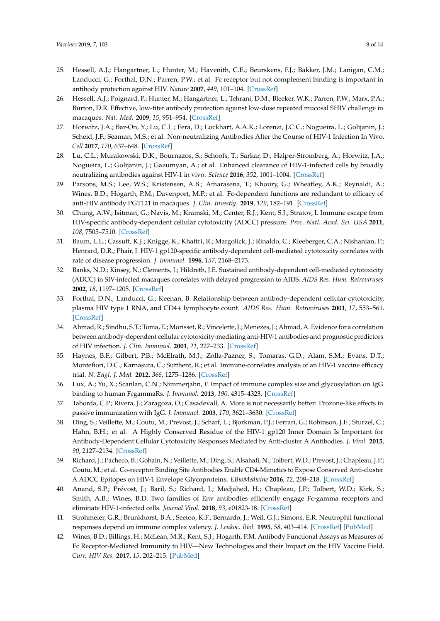- <span id="page-7-0"></span>25. Hessell, A.J.; Hangartner, L.; Hunter, M.; Havenith, C.E.; Beurskens, F.J.; Bakker, J.M.; Lanigan, C.M.; Landucci, G.; Forthal, D.N.; Parren, P.W.; et al. Fc receptor but not complement binding is important in antibody protection against HIV. *Nature* **2007**, *449*, 101–104. [\[CrossRef\]](http://dx.doi.org/10.1038/nature06106)
- <span id="page-7-1"></span>26. Hessell, A.J.; Poignard, P.; Hunter, M.; Hangartner, L.; Tehrani, D.M.; Bleeker, W.K.; Parren, P.W.; Marx, P.A.; Burton, D.R. Effective, low-titer antibody protection against low-dose repeated mucosal SHIV challenge in macaques. *Nat. Med.* **2009**, *15*, 951–954. [\[CrossRef\]](http://dx.doi.org/10.1038/nm.1974)
- <span id="page-7-2"></span>27. Horwitz, J.A.; Bar-On, Y.; Lu, C.L.; Fera, D.; Lockhart, A.A.K.; Lorenzi, J.C.C.; Nogueira, L.; Golijanin, J.; Scheid, J.F.; Seaman, M.S.; et al. Non-neutralizing Antibodies Alter the Course of HIV-1 Infection In Vivo. *Cell* **2017**, *170*, 637–648. [\[CrossRef\]](http://dx.doi.org/10.1016/j.cell.2017.06.048)
- <span id="page-7-3"></span>28. Lu, C.L.; Murakowski, D.K.; Bournazos, S.; Schoofs, T.; Sarkar, D.; Halper-Stromberg, A.; Horwitz, J.A.; Nogueira, L.; Golijanin, J.; Gazumyan, A.; et al. Enhanced clearance of HIV-1-infected cells by broadly neutralizing antibodies against HIV-1 in vivo. *Science* **2016**, *352*, 1001–1004. [\[CrossRef\]](http://dx.doi.org/10.1126/science.aaf1279)
- <span id="page-7-4"></span>29. Parsons, M.S.; Lee, W.S.; Kristensen, A.B.; Amarasena, T.; Khoury, G.; Wheatley, A.K.; Reynaldi, A.; Wines, B.D.; Hogarth, P.M.; Davenport, M.P.; et al. Fc-dependent functions are redundant to efficacy of anti-HIV antibody PGT121 in macaques. *J. Clin. Investig.* **2019**, *129*, 182–191. [\[CrossRef\]](http://dx.doi.org/10.1172/JCI122466)
- <span id="page-7-5"></span>30. Chung, A.W.; Isitman, G.; Navis, M.; Kramski, M.; Center, R.J.; Kent, S.J.; Stratov, I. Immune escape from HIV-specific antibody-dependent cellular cytotoxicity (ADCC) pressure. *Proc. Natl. Acad. Sci. USA* **2011**, *108*, 7505–7510. [\[CrossRef\]](http://dx.doi.org/10.1073/pnas.1016048108)
- <span id="page-7-6"></span>31. Baum, L.L.; Cassutt, K.J.; Knigge, K.; Khattri, R.; Margolick, J.; Rinaldo, C.; Kleeberger, C.A.; Nishanian, P.; Henrard, D.R.; Phair, J. HIV-1 gp120-specific antibody-dependent cell-mediated cytotoxicity correlates with rate of disease progression. *J. Immunol.* **1996**, *157*, 2168–2173.
- <span id="page-7-7"></span>32. Banks, N.D.; Kinsey, N.; Clements, J.; Hildreth, J.E. Sustained antibody-dependent cell-mediated cytotoxicity (ADCC) in SIV-infected macaques correlates with delayed progression to AIDS. *AIDS Res. Hum. Retroviruses* **2002**, *18*, 1197–1205. [\[CrossRef\]](http://dx.doi.org/10.1089/08892220260387940)
- <span id="page-7-8"></span>33. Forthal, D.N.; Landucci, G.; Keenan, B. Relationship between antibody-dependent cellular cytotoxicity, plasma HIV type 1 RNA, and CD4+ lymphocyte count. *AIDS Res. Hum. Retroviruses* **2001**, *17*, 553–561. [\[CrossRef\]](http://dx.doi.org/10.1089/08892220151126661)
- <span id="page-7-9"></span>34. Ahmad, R.; Sindhu, S.T.; Toma, E.; Morisset, R.; Vincelette, J.; Menezes, J.; Ahmad, A. Evidence for a correlation between antibody-dependent cellular cytotoxicity-mediating anti-HIV-1 antibodies and prognostic predictors of HIV infection. *J. Clin. Immunol.* **2001**, *21*, 227–233. [\[CrossRef\]](http://dx.doi.org/10.1023/A:1011087132180)
- <span id="page-7-10"></span>35. Haynes, B.F.; Gilbert, P.B.; McElrath, M.J.; Zolla-Pazner, S.; Tomaras, G.D.; Alam, S.M.; Evans, D.T.; Montefiori, D.C.; Karnasuta, C.; Sutthent, R.; et al. Immune-correlates analysis of an HIV-1 vaccine efficacy trial. *N. Engl. J. Med.* **2012**, *366*, 1275–1286. [\[CrossRef\]](http://dx.doi.org/10.1056/NEJMoa1113425)
- <span id="page-7-11"></span>36. Lux, A.; Yu, X.; Scanlan, C.N.; Nimmerjahn, F. Impact of immune complex size and glycosylation on IgG binding to human FcgammaRs. *J. Immunol.* **2013**, *190*, 4315–4323. [\[CrossRef\]](http://dx.doi.org/10.4049/jimmunol.1200501)
- <span id="page-7-12"></span>37. Taborda, C.P.; Rivera, J.; Zaragoza, O.; Casadevall, A. More is not necessarily better: Prozone-like effects in passive immunization with IgG. *J. Immunol.* **2003**, *170*, 3621–3630. [\[CrossRef\]](http://dx.doi.org/10.4049/jimmunol.170.7.3621)
- <span id="page-7-13"></span>38. Ding, S.; Veillette, M.; Coutu, M.; Prevost, J.; Scharf, L.; Bjorkman, P.J.; Ferrari, G.; Robinson, J.E.; Sturzel, C.; Hahn, B.H.; et al. A Highly Conserved Residue of the HIV-1 gp120 Inner Domain Is Important for Antibody-Dependent Cellular Cytotoxicity Responses Mediated by Anti-cluster A Antibodies. *J. Virol.* **2015**, *90*, 2127–2134. [\[CrossRef\]](http://dx.doi.org/10.1128/JVI.02779-15)
- <span id="page-7-14"></span>39. Richard, J.; Pacheco, B.; Gohain, N.; Veillette, M.; Ding, S.; Alsahafi, N.; Tolbert, W.D.; Prevost, J.; Chapleau, J.P.; Coutu, M.; et al. Co-receptor Binding Site Antibodies Enable CD4-Mimetics to Expose Conserved Anti-cluster A ADCC Epitopes on HIV-1 Envelope Glycoproteins. *EBioMedicine* **2016**, *12*, 208–218. [\[CrossRef\]](http://dx.doi.org/10.1016/j.ebiom.2016.09.004)
- <span id="page-7-15"></span>40. Anand, S.P.; Prévost, J.; Baril, S.; Richard, J.; Medjahed, H.; Chapleau, J.P.; Tolbert, W.D.; Kirk, S.; Smith, A.B.; Wines, B.D. Two families of Env antibodies efficiently engage Fc-gamma receptors and eliminate HIV-1-infected cells. *Journal Virol.* **2018**, *93*, e01823-18. [\[CrossRef\]](http://dx.doi.org/10.1128/JVI.01823-18)
- <span id="page-7-16"></span>41. Strohmeier, G.R.; Brunkhorst, B.A.; Seetoo, K.F.; Bernardo, J.; Weil, G.J.; Simons, E.R. Neutrophil functional responses depend on immune complex valency. *J. Leukoc. Biol.* **1995**, *58*, 403–414. [\[CrossRef\]](http://dx.doi.org/10.1002/jlb.58.4.403) [\[PubMed\]](http://www.ncbi.nlm.nih.gov/pubmed/7561516)
- <span id="page-7-17"></span>42. Wines, B.D.; Billings, H.; McLean, M.R.; Kent, S.J.; Hogarth, P.M. Antibody Functional Assays as Measures of Fc Receptor-Mediated Immunity to HIV—New Technologies and their Impact on the HIV Vaccine Field. *Curr. HIV Res.* **2017**, *15*, 202–215. [\[PubMed\]](http://www.ncbi.nlm.nih.gov/pubmed/28322167)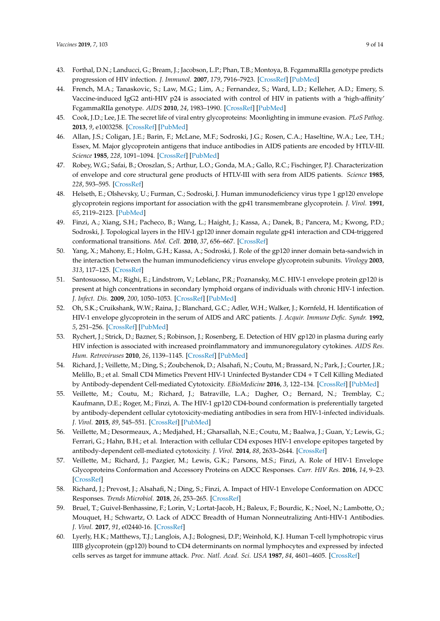- <span id="page-8-0"></span>43. Forthal, D.N.; Landucci, G.; Bream, J.; Jacobson, L.P.; Phan, T.B.; Montoya, B. FcgammaRIIa genotype predicts progression of HIV infection. *J. Immunol.* **2007**, *179*, 7916–7923. [\[CrossRef\]](http://dx.doi.org/10.4049/jimmunol.179.11.7916) [\[PubMed\]](http://www.ncbi.nlm.nih.gov/pubmed/18025239)
- <span id="page-8-1"></span>44. French, M.A.; Tanaskovic, S.; Law, M.G.; Lim, A.; Fernandez, S.; Ward, L.D.; Kelleher, A.D.; Emery, S. Vaccine-induced IgG2 anti-HIV p24 is associated with control of HIV in patients with a 'high-affinity' FcgammaRIIa genotype. *AIDS* **2010**, *24*, 1983–1990. [\[CrossRef\]](http://dx.doi.org/10.1097/QAD.0b013e32833c1ce0) [\[PubMed\]](http://www.ncbi.nlm.nih.gov/pubmed/20634666)
- <span id="page-8-2"></span>45. Cook, J.D.; Lee, J.E. The secret life of viral entry glycoproteins: Moonlighting in immune evasion. *PLoS Pathog.* **2013**, *9*, e1003258. [\[CrossRef\]](http://dx.doi.org/10.1371/journal.ppat.1003258) [\[PubMed\]](http://www.ncbi.nlm.nih.gov/pubmed/23696729)
- <span id="page-8-3"></span>46. Allan, J.S.; Coligan, J.E.; Barin, F.; McLane, M.F.; Sodroski, J.G.; Rosen, C.A.; Haseltine, W.A.; Lee, T.H.; Essex, M. Major glycoprotein antigens that induce antibodies in AIDS patients are encoded by HTLV-III. *Science* **1985**, *228*, 1091–1094. [\[CrossRef\]](http://dx.doi.org/10.1126/science.2986290) [\[PubMed\]](http://www.ncbi.nlm.nih.gov/pubmed/2986290)
- <span id="page-8-4"></span>47. Robey, W.G.; Safai, B.; Oroszlan, S.; Arthur, L.O.; Gonda, M.A.; Gallo, R.C.; Fischinger, P.J. Characterization of envelope and core structural gene products of HTLV-III with sera from AIDS patients. *Science* **1985**, *228*, 593–595. [\[CrossRef\]](http://dx.doi.org/10.1126/science.2984774)
- <span id="page-8-5"></span>48. Helseth, E.; Olshevsky, U.; Furman, C.; Sodroski, J. Human immunodeficiency virus type 1 gp120 envelope glycoprotein regions important for association with the gp41 transmembrane glycoprotein. *J. Virol.* **1991**, *65*, 2119–2123. [\[PubMed\]](http://www.ncbi.nlm.nih.gov/pubmed/2002555)
- 49. Finzi, A.; Xiang, S.H.; Pacheco, B.; Wang, L.; Haight, J.; Kassa, A.; Danek, B.; Pancera, M.; Kwong, P.D.; Sodroski, J. Topological layers in the HIV-1 gp120 inner domain regulate gp41 interaction and CD4-triggered conformational transitions. *Mol. Cell.* **2010**, *37*, 656–667. [\[CrossRef\]](http://dx.doi.org/10.1016/j.molcel.2010.02.012)
- <span id="page-8-6"></span>50. Yang, X.; Mahony, E.; Holm, G.H.; Kassa, A.; Sodroski, J. Role of the gp120 inner domain beta-sandwich in the interaction between the human immunodeficiency virus envelope glycoprotein subunits. *Virology* **2003**, *313*, 117–125. [\[CrossRef\]](http://dx.doi.org/10.1016/S0042-6822(03)00273-3)
- <span id="page-8-7"></span>51. Santosuosso, M.; Righi, E.; Lindstrom, V.; Leblanc, P.R.; Poznansky, M.C. HIV-1 envelope protein gp120 is present at high concentrations in secondary lymphoid organs of individuals with chronic HIV-1 infection. *J. Infect. Dis.* **2009**, *200*, 1050–1053. [\[CrossRef\]](http://dx.doi.org/10.1086/605695) [\[PubMed\]](http://www.ncbi.nlm.nih.gov/pubmed/19698075)
- 52. Oh, S.K.; Cruikshank, W.W.; Raina, J.; Blanchard, G.C.; Adler, W.H.; Walker, J.; Kornfeld, H. Identification of HIV-1 envelope glycoprotein in the serum of AIDS and ARC patients. *J. Acquir. Immune Defic. Syndr.* **1992**, *5*, 251–256. [\[CrossRef\]](http://dx.doi.org/10.1097/00126334-199203000-00005) [\[PubMed\]](http://www.ncbi.nlm.nih.gov/pubmed/1740750)
- <span id="page-8-8"></span>53. Rychert, J.; Strick, D.; Bazner, S.; Robinson, J.; Rosenberg, E. Detection of HIV gp120 in plasma during early HIV infection is associated with increased proinflammatory and immunoregulatory cytokines. *AIDS Res. Hum. Retroviruses* **2010**, *26*, 1139–1145. [\[CrossRef\]](http://dx.doi.org/10.1089/aid.2009.0290) [\[PubMed\]](http://www.ncbi.nlm.nih.gov/pubmed/20722464)
- <span id="page-8-9"></span>54. Richard, J.; Veillette, M.; Ding, S.; Zoubchenok, D.; Alsahafi, N.; Coutu, M.; Brassard, N.; Park, J.; Courter, J.R.; Melillo, B.; et al. Small CD4 Mimetics Prevent HIV-1 Uninfected Bystander CD4 + T Cell Killing Mediated by Antibody-dependent Cell-mediated Cytotoxicity. *EBioMedicine* **2016**, *3*, 122–134. [\[CrossRef\]](http://dx.doi.org/10.1016/j.ebiom.2015.12.004) [\[PubMed\]](http://www.ncbi.nlm.nih.gov/pubmed/26870823)
- <span id="page-8-10"></span>55. Veillette, M.; Coutu, M.; Richard, J.; Batraville, L.A.; Dagher, O.; Bernard, N.; Tremblay, C.; Kaufmann, D.E.; Roger, M.; Finzi, A. The HIV-1 gp120 CD4-bound conformation is preferentially targeted by antibody-dependent cellular cytotoxicity-mediating antibodies in sera from HIV-1-infected individuals. *J. Virol.* **2015**, *89*, 545–551. [\[CrossRef\]](http://dx.doi.org/10.1128/JVI.02868-14) [\[PubMed\]](http://www.ncbi.nlm.nih.gov/pubmed/25339767)
- <span id="page-8-11"></span>56. Veillette, M.; Desormeaux, A.; Medjahed, H.; Gharsallah, N.E.; Coutu, M.; Baalwa, J.; Guan, Y.; Lewis, G.; Ferrari, G.; Hahn, B.H.; et al. Interaction with cellular CD4 exposes HIV-1 envelope epitopes targeted by antibody-dependent cell-mediated cytotoxicity. *J. Virol.* **2014**, *88*, 2633–2644. [\[CrossRef\]](http://dx.doi.org/10.1128/JVI.03230-13)
- <span id="page-8-12"></span>57. Veillette, M.; Richard, J.; Pazgier, M.; Lewis, G.K.; Parsons, M.S.; Finzi, A. Role of HIV-1 Envelope Glycoproteins Conformation and Accessory Proteins on ADCC Responses. *Curr. HIV Res.* **2016**, *14*, 9–23. [\[CrossRef\]](http://dx.doi.org/10.2174/1570162X13666150827093449)
- <span id="page-8-13"></span>58. Richard, J.; Prevost, J.; Alsahafi, N.; Ding, S.; Finzi, A. Impact of HIV-1 Envelope Conformation on ADCC Responses. *Trends Microbiol.* **2018**, *26*, 253–265. [\[CrossRef\]](http://dx.doi.org/10.1016/j.tim.2017.10.007)
- <span id="page-8-14"></span>59. Bruel, T.; Guivel-Benhassine, F.; Lorin, V.; Lortat-Jacob, H.; Baleux, F.; Bourdic, K.; Noel, N.; Lambotte, O.; Mouquet, H.; Schwartz, O. Lack of ADCC Breadth of Human Nonneutralizing Anti-HIV-1 Antibodies. *J. Virol.* **2017**, *91*, e02440-16. [\[CrossRef\]](http://dx.doi.org/10.1128/JVI.02440-16)
- <span id="page-8-15"></span>60. Lyerly, H.K.; Matthews, T.J.; Langlois, A.J.; Bolognesi, D.P.; Weinhold, K.J. Human T-cell lymphotropic virus IIIB glycoprotein (gp120) bound to CD4 determinants on normal lymphocytes and expressed by infected cells serves as target for immune attack. *Proc. Natl. Acad. Sci. USA* **1987**, *84*, 4601–4605. [\[CrossRef\]](http://dx.doi.org/10.1073/pnas.84.13.4601)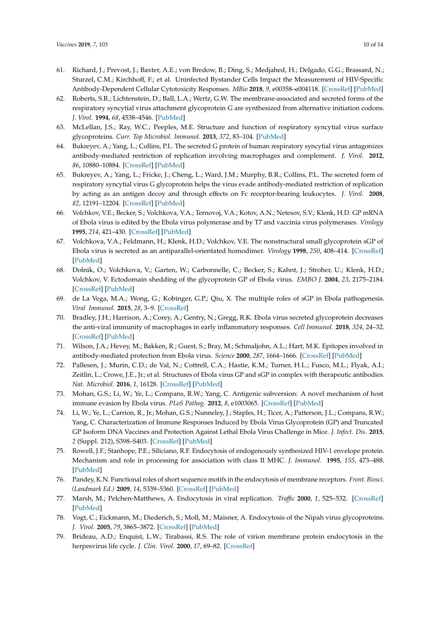- <span id="page-9-0"></span>61. Richard, J.; Prevost, J.; Baxter, A.E.; von Bredow, B.; Ding, S.; Medjahed, H.; Delgado, G.G.; Brassard, N.; Sturzel, C.M.; Kirchhoff, F.; et al. Uninfected Bystander Cells Impact the Measurement of HIV-Specific Antibody-Dependent Cellular Cytotoxicity Responses. *MBio* **2018**, *9*, e00358–e004118. [\[CrossRef\]](http://dx.doi.org/10.1128/mBio.00358-18) [\[PubMed\]](http://www.ncbi.nlm.nih.gov/pubmed/29559570)
- <span id="page-9-1"></span>62. Roberts, S.R.; Lichtenstein, D.; Ball, L.A.; Wertz, G.W. The membrane-associated and secreted forms of the respiratory syncytial virus attachment glycoprotein G are synthesized from alternative initiation codons. *J. Virol.* **1994**, *68*, 4538–4546. [\[PubMed\]](http://www.ncbi.nlm.nih.gov/pubmed/8207828)
- <span id="page-9-2"></span>63. McLellan, J.S.; Ray, W.C.; Peeples, M.E. Structure and function of respiratory syncytial virus surface glycoproteins. *Curr. Top Microbiol. Immunol.* **2013**, *372*, 83–104. [\[PubMed\]](http://www.ncbi.nlm.nih.gov/pubmed/24362685)
- <span id="page-9-3"></span>64. Bukreyev, A.; Yang, L.; Collins, P.L. The secreted G protein of human respiratory syncytial virus antagonizes antibody-mediated restriction of replication involving macrophages and complement. *J. Virol.* **2012**, *86*, 10880–10884. [\[CrossRef\]](http://dx.doi.org/10.1128/JVI.01162-12) [\[PubMed\]](http://www.ncbi.nlm.nih.gov/pubmed/22837211)
- <span id="page-9-4"></span>65. Bukreyev, A.; Yang, L.; Fricke, J.; Cheng, L.; Ward, J.M.; Murphy, B.R.; Collins, P.L. The secreted form of respiratory syncytial virus G glycoprotein helps the virus evade antibody-mediated restriction of replication by acting as an antigen decoy and through effects on Fc receptor-bearing leukocytes. *J. Virol.* **2008**, *82*, 12191–12204. [\[CrossRef\]](http://dx.doi.org/10.1128/JVI.01604-08) [\[PubMed\]](http://www.ncbi.nlm.nih.gov/pubmed/18842713)
- <span id="page-9-5"></span>66. Volchkov, V.E.; Becker, S.; Volchkova, V.A.; Ternovoj, V.A.; Kotov, A.N.; Netesov, S.V.; Klenk, H.D. GP mRNA of Ebola virus is edited by the Ebola virus polymerase and by T7 and vaccinia virus polymerases. *Virology* **1995**, *214*, 421–430. [\[CrossRef\]](http://dx.doi.org/10.1006/viro.1995.0052) [\[PubMed\]](http://www.ncbi.nlm.nih.gov/pubmed/8553543)
- <span id="page-9-6"></span>67. Volchkova, V.A.; Feldmann, H.; Klenk, H.D.; Volchkov, V.E. The nonstructural small glycoprotein sGP of Ebola virus is secreted as an antiparallel-orientated homodimer. *Virology* **1998**, *250*, 408–414. [\[CrossRef\]](http://dx.doi.org/10.1006/viro.1998.9389) [\[PubMed\]](http://www.ncbi.nlm.nih.gov/pubmed/9792851)
- <span id="page-9-7"></span>68. Dolnik, O.; Volchkova, V.; Garten, W.; Carbonnelle, C.; Becker, S.; Kahnt, J.; Stroher, U.; Klenk, H.D.; Volchkov, V. Ectodomain shedding of the glycoprotein GP of Ebola virus. *EMBO J.* **2004**, *23*, 2175–2184. [\[CrossRef\]](http://dx.doi.org/10.1038/sj.emboj.7600219) [\[PubMed\]](http://www.ncbi.nlm.nih.gov/pubmed/15103332)
- <span id="page-9-8"></span>69. de La Vega, M.A.; Wong, G.; Kobinger, G.P.; Qiu, X. The multiple roles of sGP in Ebola pathogenesis. *Viral Immunol.* **2015**, *28*, 3–9. [\[CrossRef\]](http://dx.doi.org/10.1089/vim.2014.0068)
- <span id="page-9-9"></span>70. Bradley, J.H.; Harrison, A.; Corey, A.; Gentry, N.; Gregg, R.K. Ebola virus secreted glycoprotein decreases the anti-viral immunity of macrophages in early inflammatory responses. *Cell Immunol.* **2018**, *324*, 24–32. [\[CrossRef\]](http://dx.doi.org/10.1016/j.cellimm.2017.11.009) [\[PubMed\]](http://www.ncbi.nlm.nih.gov/pubmed/29195741)
- <span id="page-9-10"></span>71. Wilson, J.A.; Hevey, M.; Bakken, R.; Guest, S.; Bray, M.; Schmaljohn, A.L.; Hart, M.K. Epitopes involved in antibody-mediated protection from Ebola virus. *Science* **2000**, *287*, 1664–1666. [\[CrossRef\]](http://dx.doi.org/10.1126/science.287.5458.1664) [\[PubMed\]](http://www.ncbi.nlm.nih.gov/pubmed/10698744)
- <span id="page-9-11"></span>72. Pallesen, J.; Murin, C.D.; de Val, N.; Cottrell, C.A.; Hastie, K.M.; Turner, H.L.; Fusco, M.L.; Flyak, A.I.; Zeitlin, L.; Crowe, J.E., Jr.; et al. Structures of Ebola virus GP and sGP in complex with therapeutic antibodies. *Nat. Microbiol.* **2016**, *1*, 16128. [\[CrossRef\]](http://dx.doi.org/10.1038/nmicrobiol.2016.128) [\[PubMed\]](http://www.ncbi.nlm.nih.gov/pubmed/27562261)
- <span id="page-9-12"></span>73. Mohan, G.S.; Li, W.; Ye, L.; Compans, R.W.; Yang, C. Antigenic subversion: A novel mechanism of host immune evasion by Ebola virus. *PLoS Pathog.* **2012**, *8*, e1003065. [\[CrossRef\]](http://dx.doi.org/10.1371/journal.ppat.1003065) [\[PubMed\]](http://www.ncbi.nlm.nih.gov/pubmed/23271969)
- <span id="page-9-13"></span>74. Li, W.; Ye, L.; Carrion, R., Jr.; Mohan, G.S.; Nunneley, J.; Staples, H.; Ticer, A.; Patterson, J.L.; Compans, R.W.; Yang, C. Characterization of Immune Responses Induced by Ebola Virus Glycoprotein (GP) and Truncated GP Isoform DNA Vaccines and Protection Against Lethal Ebola Virus Challenge in Mice. *J. Infect. Dis.* **2015**, *2* (Suppl. 212), S398–S403. [\[CrossRef\]](http://dx.doi.org/10.1093/infdis/jiv186) [\[PubMed\]](http://www.ncbi.nlm.nih.gov/pubmed/25877553)
- <span id="page-9-14"></span>75. Rowell, J.F.; Stanhope, P.E.; Siliciano, R.F. Endocytosis of endogenously synthesized HIV-1 envelope protein. Mechanism and role in processing for association with class II MHC. *J. Immunol.* **1995**, *155*, 473–488. [\[PubMed\]](http://www.ncbi.nlm.nih.gov/pubmed/7602119)
- <span id="page-9-15"></span>76. Pandey, K.N. Functional roles of short sequence motifs in the endocytosis of membrane receptors. *Front. Biosci. (Landmark Ed.)* **2009**, *14*, 5339–5360. [\[CrossRef\]](http://dx.doi.org/10.2741/3599) [\[PubMed\]](http://www.ncbi.nlm.nih.gov/pubmed/19482617)
- <span id="page-9-16"></span>77. Marsh, M.; Pelchen-Matthews, A. Endocytosis in viral replication. *Tra*ffi*c* **2000**, *1*, 525–532. [\[CrossRef\]](http://dx.doi.org/10.1034/j.1600-0854.2000.010701.x) [\[PubMed\]](http://www.ncbi.nlm.nih.gov/pubmed/11208139)
- <span id="page-9-17"></span>78. Vogt, C.; Eickmann, M.; Diederich, S.; Moll, M.; Maisner, A. Endocytosis of the Nipah virus glycoproteins. *J. Virol.* **2005**, *79*, 3865–3872. [\[CrossRef\]](http://dx.doi.org/10.1128/JVI.79.6.3865-3872.2005) [\[PubMed\]](http://www.ncbi.nlm.nih.gov/pubmed/15731282)
- <span id="page-9-18"></span>79. Brideau, A.D.; Enquist, L.W.; Tirabassi, R.S. The role of virion membrane protein endocytosis in the herpesvirus life cycle. *J. Clin. Virol.* **2000**, *17*, 69–82. [\[CrossRef\]](http://dx.doi.org/10.1016/S1386-6532(00)00084-6)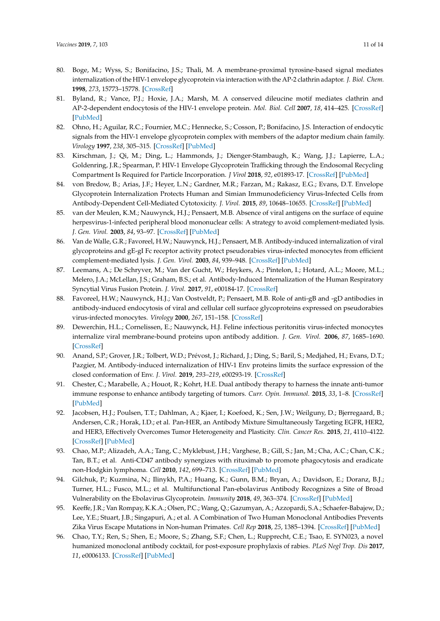- <span id="page-10-0"></span>80. Boge, M.; Wyss, S.; Bonifacino, J.S.; Thali, M. A membrane-proximal tyrosine-based signal mediates internalization of the HIV-1 envelope glycoprotein via interaction with the AP-2 clathrin adaptor. *J. Biol. Chem.* **1998**, *273*, 15773–15778. [\[CrossRef\]](http://dx.doi.org/10.1074/jbc.273.25.15773)
- 81. Byland, R.; Vance, P.J.; Hoxie, J.A.; Marsh, M. A conserved dileucine motif mediates clathrin and AP-2-dependent endocytosis of the HIV-1 envelope protein. *Mol. Biol. Cell* **2007**, *18*, 414–425. [\[CrossRef\]](http://dx.doi.org/10.1091/mbc.e06-06-0535) [\[PubMed\]](http://www.ncbi.nlm.nih.gov/pubmed/17108326)
- <span id="page-10-1"></span>82. Ohno, H.; Aguilar, R.C.; Fournier, M.C.; Hennecke, S.; Cosson, P.; Bonifacino, J.S. Interaction of endocytic signals from the HIV-1 envelope glycoprotein complex with members of the adaptor medium chain family. *Virology* **1997**, *238*, 305–315. [\[CrossRef\]](http://dx.doi.org/10.1006/viro.1997.8839) [\[PubMed\]](http://www.ncbi.nlm.nih.gov/pubmed/9400603)
- <span id="page-10-2"></span>83. Kirschman, J.; Qi, M.; Ding, L.; Hammonds, J.; Dienger-Stambaugh, K.; Wang, J.J.; Lapierre, L.A.; Goldenring, J.R.; Spearman, P. HIV-1 Envelope Glycoprotein Trafficking through the Endosomal Recycling Compartment Is Required for Particle Incorporation. *J Virol* **2018**, *92*, e01893-17. [\[CrossRef\]](http://dx.doi.org/10.1128/JVI.01893-17) [\[PubMed\]](http://www.ncbi.nlm.nih.gov/pubmed/29212940)
- <span id="page-10-3"></span>84. von Bredow, B.; Arias, J.F.; Heyer, L.N.; Gardner, M.R.; Farzan, M.; Rakasz, E.G.; Evans, D.T. Envelope Glycoprotein Internalization Protects Human and Simian Immunodeficiency Virus-Infected Cells from Antibody-Dependent Cell-Mediated Cytotoxicity. *J. Virol.* **2015**, *89*, 10648–10655. [\[CrossRef\]](http://dx.doi.org/10.1128/JVI.01911-15) [\[PubMed\]](http://www.ncbi.nlm.nih.gov/pubmed/26269175)
- <span id="page-10-4"></span>85. van der Meulen, K.M.; Nauwynck, H.J.; Pensaert, M.B. Absence of viral antigens on the surface of equine herpesvirus-1-infected peripheral blood mononuclear cells: A strategy to avoid complement-mediated lysis. *J. Gen. Virol.* **2003**, *84*, 93–97. [\[CrossRef\]](http://dx.doi.org/10.1099/vir.0.18864-0) [\[PubMed\]](http://www.ncbi.nlm.nih.gov/pubmed/12533704)
- <span id="page-10-5"></span>86. Van de Walle, G.R.; Favoreel, H.W.; Nauwynck, H.J.; Pensaert, M.B. Antibody-induced internalization of viral glycoproteins and gE-gI Fc receptor activity protect pseudorabies virus-infected monocytes from efficient complement-mediated lysis. *J. Gen. Virol.* **2003**, *84*, 939–948. [\[CrossRef\]](http://dx.doi.org/10.1099/vir.0.18663-0) [\[PubMed\]](http://www.ncbi.nlm.nih.gov/pubmed/12655095)
- <span id="page-10-6"></span>87. Leemans, A.; De Schryver, M.; Van der Gucht, W.; Heykers, A.; Pintelon, I.; Hotard, A.L.; Moore, M.L.; Melero, J.A.; McLellan, J.S.; Graham, B.S.; et al. Antibody-Induced Internalization of the Human Respiratory Syncytial Virus Fusion Protein. *J. Virol.* **2017**, *91*, e00184-17. [\[CrossRef\]](http://dx.doi.org/10.1128/JVI.00184-17)
- <span id="page-10-7"></span>88. Favoreel, H.W.; Nauwynck, H.J.; Van Oostveldt, P.; Pensaert, M.B. Role of anti-gB and -gD antibodies in antibody-induced endocytosis of viral and cellular cell surface glycoproteins expressed on pseudorabies virus-infected monocytes. *Virology* **2000**, *267*, 151–158. [\[CrossRef\]](http://dx.doi.org/10.1006/viro.1999.0132)
- <span id="page-10-8"></span>89. Dewerchin, H.L.; Cornelissen, E.; Nauwynck, H.J. Feline infectious peritonitis virus-infected monocytes internalize viral membrane-bound proteins upon antibody addition. *J. Gen. Virol.* **2006**, *87*, 1685–1690. [\[CrossRef\]](http://dx.doi.org/10.1099/vir.0.81692-0)
- <span id="page-10-9"></span>90. Anand, S.P.; Grover, J.R.; Tolbert, W.D.; Prévost, J.; Richard, J.; Ding, S.; Baril, S.; Medjahed, H.; Evans, D.T.; Pazgier, M. Antibody-induced internalization of HIV-1 Env proteins limits the surface expression of the closed conformation of Env. *J. Virol.* **2019**, *293–219*, e00293-19. [\[CrossRef\]](http://dx.doi.org/10.1128/JVI.00293-19)
- <span id="page-10-10"></span>91. Chester, C.; Marabelle, A.; Houot, R.; Kohrt, H.E. Dual antibody therapy to harness the innate anti-tumor immune response to enhance antibody targeting of tumors. *Curr. Opin. Immunol.* **2015**, *33*, 1–8. [\[CrossRef\]](http://dx.doi.org/10.1016/j.coi.2014.12.010) [\[PubMed\]](http://www.ncbi.nlm.nih.gov/pubmed/25576932)
- 92. Jacobsen, H.J.; Poulsen, T.T.; Dahlman, A.; Kjaer, I.; Koefoed, K.; Sen, J.W.; Weilguny, D.; Bjerregaard, B.; Andersen, C.R.; Horak, I.D.; et al. Pan-HER, an Antibody Mixture Simultaneously Targeting EGFR, HER2, and HER3, Effectively Overcomes Tumor Heterogeneity and Plasticity. *Clin. Cancer Res.* **2015**, *21*, 4110–4122. [\[CrossRef\]](http://dx.doi.org/10.1158/1078-0432.CCR-14-3312) [\[PubMed\]](http://www.ncbi.nlm.nih.gov/pubmed/25908781)
- <span id="page-10-11"></span>93. Chao, M.P.; Alizadeh, A.A.; Tang, C.; Myklebust, J.H.; Varghese, B.; Gill, S.; Jan, M.; Cha, A.C.; Chan, C.K.; Tan, B.T.; et al. Anti-CD47 antibody synergizes with rituximab to promote phagocytosis and eradicate non-Hodgkin lymphoma. *Cell* **2010**, *142*, 699–713. [\[CrossRef\]](http://dx.doi.org/10.1016/j.cell.2010.07.044) [\[PubMed\]](http://www.ncbi.nlm.nih.gov/pubmed/20813259)
- <span id="page-10-12"></span>94. Gilchuk, P.; Kuzmina, N.; Ilinykh, P.A.; Huang, K.; Gunn, B.M.; Bryan, A.; Davidson, E.; Doranz, B.J.; Turner, H.L.; Fusco, M.L.; et al. Multifunctional Pan-ebolavirus Antibody Recognizes a Site of Broad Vulnerability on the Ebolavirus Glycoprotein. *Immunity* **2018**, *49*, 363–374. [\[CrossRef\]](http://dx.doi.org/10.1016/j.immuni.2018.06.018) [\[PubMed\]](http://www.ncbi.nlm.nih.gov/pubmed/30029854)
- <span id="page-10-13"></span>95. Keeffe, J.R.; Van Rompay, K.K.A.; Olsen, P.C.; Wang, Q.; Gazumyan, A.; Azzopardi, S.A.; Schaefer-Babajew, D.; Lee, Y.E.; Stuart, J.B.; Singapuri, A.; et al. A Combination of Two Human Monoclonal Antibodies Prevents Zika Virus Escape Mutations in Non-human Primates. *Cell Rep* **2018**, *25*, 1385–1394. [\[CrossRef\]](http://dx.doi.org/10.1016/j.celrep.2018.10.031) [\[PubMed\]](http://www.ncbi.nlm.nih.gov/pubmed/30403995)
- <span id="page-10-14"></span>96. Chao, T.Y.; Ren, S.; Shen, E.; Moore, S.; Zhang, S.F.; Chen, L.; Rupprecht, C.E.; Tsao, E. SYN023, a novel humanized monoclonal antibody cocktail, for post-exposure prophylaxis of rabies. *PLoS Negl Trop. Dis* **2017**, *11*, e0006133. [\[CrossRef\]](http://dx.doi.org/10.1371/journal.pntd.0006133) [\[PubMed\]](http://www.ncbi.nlm.nih.gov/pubmed/29261658)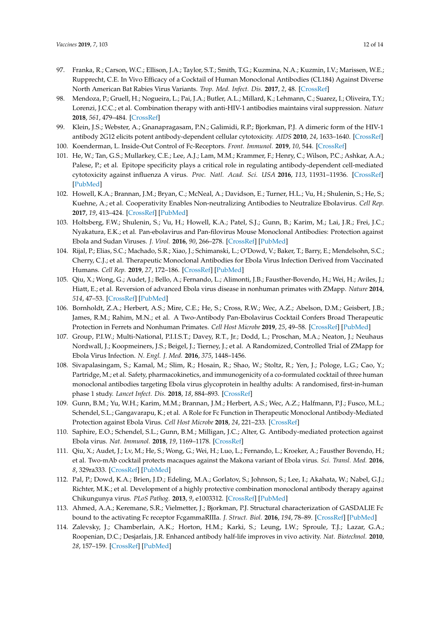- <span id="page-11-0"></span>97. Franka, R.; Carson, W.C.; Ellison, J.A.; Taylor, S.T.; Smith, T.G.; Kuzmina, N.A.; Kuzmin, I.V.; Marissen, W.E.; Rupprecht, C.E. In Vivo Efficacy of a Cocktail of Human Monoclonal Antibodies (CL184) Against Diverse North American Bat Rabies Virus Variants. *Trop. Med. Infect. Dis.* **2017**, *2*, 48. [\[CrossRef\]](http://dx.doi.org/10.3390/tropicalmed2030048)
- <span id="page-11-1"></span>98. Mendoza, P.; Gruell, H.; Nogueira, L.; Pai, J.A.; Butler, A.L.; Millard, K.; Lehmann, C.; Suarez, I.; Oliveira, T.Y.; Lorenzi, J.C.C.; et al. Combination therapy with anti-HIV-1 antibodies maintains viral suppression. *Nature* **2018**, *561*, 479–484. [\[CrossRef\]](http://dx.doi.org/10.1038/s41586-018-0531-2)
- <span id="page-11-2"></span>99. Klein, J.S.; Webster, A.; Gnanapragasam, P.N.; Galimidi, R.P.; Bjorkman, P.J. A dimeric form of the HIV-1 antibody 2G12 elicits potent antibody-dependent cellular cytotoxicity. *AIDS* **2010**, *24*, 1633–1640. [\[CrossRef\]](http://dx.doi.org/10.1097/QAD.0b013e32833ad8c8)
- <span id="page-11-3"></span>100. Koenderman, L. Inside-Out Control of Fc-Receptors. *Front. Immunol.* **2019**, *10*, 544. [\[CrossRef\]](http://dx.doi.org/10.3389/fimmu.2019.00544)
- <span id="page-11-4"></span>101. He, W.; Tan, G.S.; Mullarkey, C.E.; Lee, A.J.; Lam, M.M.; Krammer, F.; Henry, C.; Wilson, P.C.; Ashkar, A.A.; Palese, P.; et al. Epitope specificity plays a critical role in regulating antibody-dependent cell-mediated cytotoxicity against influenza A virus. *Proc. Natl. Acad. Sci. USA* **2016**, *113*, 11931–11936. [\[CrossRef\]](http://dx.doi.org/10.1073/pnas.1609316113) [\[PubMed\]](http://www.ncbi.nlm.nih.gov/pubmed/27698132)
- <span id="page-11-5"></span>102. Howell, K.A.; Brannan, J.M.; Bryan, C.; McNeal, A.; Davidson, E.; Turner, H.L.; Vu, H.; Shulenin, S.; He, S.; Kuehne, A.; et al. Cooperativity Enables Non-neutralizing Antibodies to Neutralize Ebolavirus. *Cell Rep.* **2017**, *19*, 413–424. [\[CrossRef\]](http://dx.doi.org/10.1016/j.celrep.2017.03.049) [\[PubMed\]](http://www.ncbi.nlm.nih.gov/pubmed/28402862)
- <span id="page-11-6"></span>103. Holtsberg, F.W.; Shulenin, S.; Vu, H.; Howell, K.A.; Patel, S.J.; Gunn, B.; Karim, M.; Lai, J.R.; Frei, J.C.; Nyakatura, E.K.; et al. Pan-ebolavirus and Pan-filovirus Mouse Monoclonal Antibodies: Protection against Ebola and Sudan Viruses. *J. Virol.* **2016**, *90*, 266–278. [\[CrossRef\]](http://dx.doi.org/10.1128/JVI.02171-15) [\[PubMed\]](http://www.ncbi.nlm.nih.gov/pubmed/26468533)
- <span id="page-11-7"></span>104. Rijal, P.; Elias, S.C.; Machado, S.R.; Xiao, J.; Schimanski, L.; O'Dowd, V.; Baker, T.; Barry, E.; Mendelsohn, S.C.; Cherry, C.J.; et al. Therapeutic Monoclonal Antibodies for Ebola Virus Infection Derived from Vaccinated Humans. *Cell Rep.* **2019**, *27*, 172–186. [\[CrossRef\]](http://dx.doi.org/10.1016/j.celrep.2019.03.020) [\[PubMed\]](http://www.ncbi.nlm.nih.gov/pubmed/30943399)
- <span id="page-11-8"></span>105. Qiu, X.; Wong, G.; Audet, J.; Bello, A.; Fernando, L.; Alimonti, J.B.; Fausther-Bovendo, H.; Wei, H.; Aviles, J.; Hiatt, E.; et al. Reversion of advanced Ebola virus disease in nonhuman primates with ZMapp. *Nature* **2014**, *514*, 47–53. [\[CrossRef\]](http://dx.doi.org/10.1038/nature13777) [\[PubMed\]](http://www.ncbi.nlm.nih.gov/pubmed/25171469)
- <span id="page-11-9"></span>106. Bornholdt, Z.A.; Herbert, A.S.; Mire, C.E.; He, S.; Cross, R.W.; Wec, A.Z.; Abelson, D.M.; Geisbert, J.B.; James, R.M.; Rahim, M.N.; et al. A Two-Antibody Pan-Ebolavirus Cocktail Confers Broad Therapeutic Protection in Ferrets and Nonhuman Primates. *Cell Host Microbe* **2019**, *25*, 49–58. [\[CrossRef\]](http://dx.doi.org/10.1016/j.chom.2018.12.005) [\[PubMed\]](http://www.ncbi.nlm.nih.gov/pubmed/30629918)
- <span id="page-11-10"></span>107. Group, P.I.W.; Multi-National, P.I.I.S.T.; Davey, R.T., Jr.; Dodd, L.; Proschan, M.A.; Neaton, J.; Neuhaus Nordwall, J.; Koopmeiners, J.S.; Beigel, J.; Tierney, J.; et al. A Randomized, Controlled Trial of ZMapp for Ebola Virus Infection. *N. Engl. J. Med.* **2016**, *375*, 1448–1456.
- <span id="page-11-11"></span>108. Sivapalasingam, S.; Kamal, M.; Slim, R.; Hosain, R.; Shao, W.; Stoltz, R.; Yen, J.; Pologe, L.G.; Cao, Y.; Partridge, M.; et al. Safety, pharmacokinetics, and immunogenicity of a co-formulated cocktail of three human monoclonal antibodies targeting Ebola virus glycoprotein in healthy adults: A randomised, first-in-human phase 1 study. *Lancet Infect. Dis.* **2018**, *18*, 884–893. [\[CrossRef\]](http://dx.doi.org/10.1016/S1473-3099(18)30397-9)
- <span id="page-11-12"></span>109. Gunn, B.M.; Yu, W.H.; Karim, M.M.; Brannan, J.M.; Herbert, A.S.; Wec, A.Z.; Halfmann, P.J.; Fusco, M.L.; Schendel, S.L.; Gangavarapu, K.; et al. A Role for Fc Function in Therapeutic Monoclonal Antibody-Mediated Protection against Ebola Virus. *Cell Host Microbe* **2018**, *24*, 221–233. [\[CrossRef\]](http://dx.doi.org/10.1016/j.chom.2018.07.009)
- 110. Saphire, E.O.; Schendel, S.L.; Gunn, B.M.; Milligan, J.C.; Alter, G. Antibody-mediated protection against Ebola virus. *Nat. Immunol.* **2018**, *19*, 1169–1178. [\[CrossRef\]](http://dx.doi.org/10.1038/s41590-018-0233-9)
- <span id="page-11-13"></span>111. Qiu, X.; Audet, J.; Lv, M.; He, S.; Wong, G.; Wei, H.; Luo, L.; Fernando, L.; Kroeker, A.; Fausther Bovendo, H.; et al. Two-mAb cocktail protects macaques against the Makona variant of Ebola virus. *Sci. Transl. Med.* **2016**, *8*, 329ra333. [\[CrossRef\]](http://dx.doi.org/10.1126/scitranslmed.aad9875) [\[PubMed\]](http://www.ncbi.nlm.nih.gov/pubmed/26962157)
- <span id="page-11-14"></span>112. Pal, P.; Dowd, K.A.; Brien, J.D.; Edeling, M.A.; Gorlatov, S.; Johnson, S.; Lee, I.; Akahata, W.; Nabel, G.J.; Richter, M.K.; et al. Development of a highly protective combination monoclonal antibody therapy against Chikungunya virus. *PLoS Pathog.* **2013**, *9*, e1003312. [\[CrossRef\]](http://dx.doi.org/10.1371/journal.ppat.1003312) [\[PubMed\]](http://www.ncbi.nlm.nih.gov/pubmed/23637602)
- <span id="page-11-15"></span>113. Ahmed, A.A.; Keremane, S.R.; Vielmetter, J.; Bjorkman, P.J. Structural characterization of GASDALIE Fc bound to the activating Fc receptor FcgammaRIIIa. *J. Struct. Biol.* **2016**, *194*, 78–89. [\[CrossRef\]](http://dx.doi.org/10.1016/j.jsb.2016.02.001) [\[PubMed\]](http://www.ncbi.nlm.nih.gov/pubmed/26850169)
- <span id="page-11-16"></span>114. Zalevsky, J.; Chamberlain, A.K.; Horton, H.M.; Karki, S.; Leung, I.W.; Sproule, T.J.; Lazar, G.A.; Roopenian, D.C.; Desjarlais, J.R. Enhanced antibody half-life improves in vivo activity. *Nat. Biotechnol.* **2010**, *28*, 157–159. [\[CrossRef\]](http://dx.doi.org/10.1038/nbt.1601) [\[PubMed\]](http://www.ncbi.nlm.nih.gov/pubmed/20081867)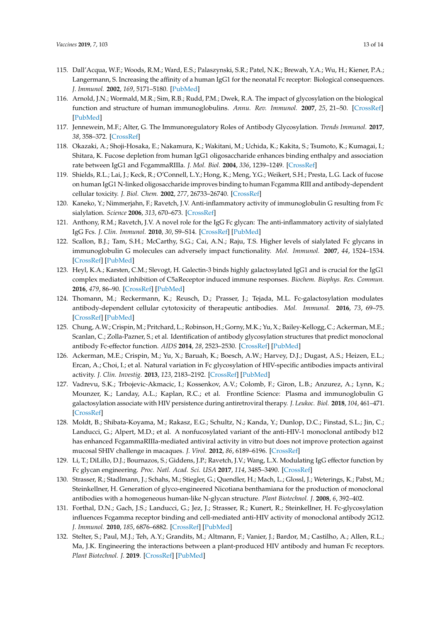- <span id="page-12-0"></span>115. Dall'Acqua, W.F.; Woods, R.M.; Ward, E.S.; Palaszynski, S.R.; Patel, N.K.; Brewah, Y.A.; Wu, H.; Kiener, P.A.; Langermann, S. Increasing the affinity of a human IgG1 for the neonatal Fc receptor: Biological consequences. *J. Immunol.* **2002**, *169*, 5171–5180. [\[PubMed\]](http://www.ncbi.nlm.nih.gov/pubmed/12391234)
- <span id="page-12-1"></span>116. Arnold, J.N.; Wormald, M.R.; Sim, R.B.; Rudd, P.M.; Dwek, R.A. The impact of glycosylation on the biological function and structure of human immunoglobulins. *Annu. Rev. Immunol.* **2007**, *25*, 21–50. [\[CrossRef\]](http://dx.doi.org/10.1146/annurev.immunol.25.022106.141702) [\[PubMed\]](http://www.ncbi.nlm.nih.gov/pubmed/17029568)
- <span id="page-12-2"></span>117. Jennewein, M.F.; Alter, G. The Immunoregulatory Roles of Antibody Glycosylation. *Trends Immunol.* **2017**, *38*, 358–372. [\[CrossRef\]](http://dx.doi.org/10.1016/j.it.2017.02.004)
- <span id="page-12-3"></span>118. Okazaki, A.; Shoji-Hosaka, E.; Nakamura, K.; Wakitani, M.; Uchida, K.; Kakita, S.; Tsumoto, K.; Kumagai, I.; Shitara, K. Fucose depletion from human IgG1 oligosaccharide enhances binding enthalpy and association rate between IgG1 and FcgammaRIIIa. *J. Mol. Biol.* **2004**, *336*, 1239–1249. [\[CrossRef\]](http://dx.doi.org/10.1016/j.jmb.2004.01.007)
- <span id="page-12-4"></span>119. Shields, R.L.; Lai, J.; Keck, R.; O'Connell, L.Y.; Hong, K.; Meng, Y.G.; Weikert, S.H.; Presta, L.G. Lack of fucose on human IgG1 N-linked oligosaccharide improves binding to human Fcgamma RIII and antibody-dependent cellular toxicity. *J. Biol. Chem.* **2002**, *277*, 26733–26740. [\[CrossRef\]](http://dx.doi.org/10.1074/jbc.M202069200)
- <span id="page-12-5"></span>120. Kaneko, Y.; Nimmerjahn, F.; Ravetch, J.V. Anti-inflammatory activity of immunoglobulin G resulting from Fc sialylation. *Science* **2006**, *313*, 670–673. [\[CrossRef\]](http://dx.doi.org/10.1126/science.1129594)
- 121. Anthony, R.M.; Ravetch, J.V. A novel role for the IgG Fc glycan: The anti-inflammatory activity of sialylated IgG Fcs. *J. Clin. Immunol.* **2010**, *30*, S9–S14. [\[CrossRef\]](http://dx.doi.org/10.1007/s10875-010-9405-6) [\[PubMed\]](http://www.ncbi.nlm.nih.gov/pubmed/20480216)
- <span id="page-12-6"></span>122. Scallon, B.J.; Tam, S.H.; McCarthy, S.G.; Cai, A.N.; Raju, T.S. Higher levels of sialylated Fc glycans in immunoglobulin G molecules can adversely impact functionality. *Mol. Immunol.* **2007**, *44*, 1524–1534. [\[CrossRef\]](http://dx.doi.org/10.1016/j.molimm.2006.09.005) [\[PubMed\]](http://www.ncbi.nlm.nih.gov/pubmed/17045339)
- <span id="page-12-7"></span>123. Heyl, K.A.; Karsten, C.M.; Slevogt, H. Galectin-3 binds highly galactosylated IgG1 and is crucial for the IgG1 complex mediated inhibition of C5aReceptor induced immune responses. *Biochem. Biophys. Res. Commun.* **2016**, *479*, 86–90. [\[CrossRef\]](http://dx.doi.org/10.1016/j.bbrc.2016.09.038) [\[PubMed\]](http://www.ncbi.nlm.nih.gov/pubmed/27620493)
- 124. Thomann, M.; Reckermann, K.; Reusch, D.; Prasser, J.; Tejada, M.L. Fc-galactosylation modulates antibody-dependent cellular cytotoxicity of therapeutic antibodies. *Mol. Immunol.* **2016**, *73*, 69–75. [\[CrossRef\]](http://dx.doi.org/10.1016/j.molimm.2016.03.002) [\[PubMed\]](http://www.ncbi.nlm.nih.gov/pubmed/27058641)
- <span id="page-12-8"></span>125. Chung, A.W.; Crispin, M.; Pritchard, L.; Robinson, H.; Gorny, M.K.; Yu, X.; Bailey-Kellogg, C.; Ackerman, M.E.; Scanlan, C.; Zolla-Pazner, S.; et al. Identification of antibody glycosylation structures that predict monoclonal antibody Fc-effector function. *AIDS* **2014**, *28*, 2523–2530. [\[CrossRef\]](http://dx.doi.org/10.1097/QAD.0000000000000444) [\[PubMed\]](http://www.ncbi.nlm.nih.gov/pubmed/25160934)
- <span id="page-12-9"></span>126. Ackerman, M.E.; Crispin, M.; Yu, X.; Baruah, K.; Boesch, A.W.; Harvey, D.J.; Dugast, A.S.; Heizen, E.L.; Ercan, A.; Choi, I.; et al. Natural variation in Fc glycosylation of HIV-specific antibodies impacts antiviral activity. *J. Clin. Investig.* **2013**, *123*, 2183–2192. [\[CrossRef\]](http://dx.doi.org/10.1172/JCI65708) [\[PubMed\]](http://www.ncbi.nlm.nih.gov/pubmed/23563315)
- <span id="page-12-10"></span>127. Vadrevu, S.K.; Trbojevic-Akmacic, I.; Kossenkov, A.V.; Colomb, F.; Giron, L.B.; Anzurez, A.; Lynn, K.; Mounzer, K.; Landay, A.L.; Kaplan, R.C.; et al. Frontline Science: Plasma and immunoglobulin G galactosylation associate with HIV persistence during antiretroviral therapy. *J. Leukoc. Biol.* **2018**, *104*, 461–471. [\[CrossRef\]](http://dx.doi.org/10.1002/JLB.3HI1217-500R)
- <span id="page-12-11"></span>128. Moldt, B.; Shibata-Koyama, M.; Rakasz, E.G.; Schultz, N.; Kanda, Y.; Dunlop, D.C.; Finstad, S.L.; Jin, C.; Landucci, G.; Alpert, M.D.; et al. A nonfucosylated variant of the anti-HIV-1 monoclonal antibody b12 has enhanced FcgammaRIIIa-mediated antiviral activity in vitro but does not improve protection against mucosal SHIV challenge in macaques. *J. Virol.* **2012**, *86*, 6189–6196. [\[CrossRef\]](http://dx.doi.org/10.1128/JVI.00491-12)
- <span id="page-12-12"></span>129. Li, T.; DiLillo, D.J.; Bournazos, S.; Giddens, J.P.; Ravetch, J.V.; Wang, L.X. Modulating IgG effector function by Fc glycan engineering. *Proc. Natl. Acad. Sci. USA* **2017**, *114*, 3485–3490. [\[CrossRef\]](http://dx.doi.org/10.1073/pnas.1702173114)
- <span id="page-12-13"></span>130. Strasser, R.; Stadlmann, J.; Schahs, M.; Stiegler, G.; Quendler, H.; Mach, L.; Glossl, J.; Weterings, K.; Pabst, M.; Steinkellner, H. Generation of glyco-engineered Nicotiana benthamiana for the production of monoclonal antibodies with a homogeneous human-like N-glycan structure. *Plant Biotechnol. J.* **2008**, *6*, 392–402.
- <span id="page-12-14"></span>131. Forthal, D.N.; Gach, J.S.; Landucci, G.; Jez, J.; Strasser, R.; Kunert, R.; Steinkellner, H. Fc-glycosylation influences Fcgamma receptor binding and cell-mediated anti-HIV activity of monoclonal antibody 2G12. *J. Immunol.* **2010**, *185*, 6876–6882. [\[CrossRef\]](http://dx.doi.org/10.4049/jimmunol.1002600) [\[PubMed\]](http://www.ncbi.nlm.nih.gov/pubmed/21041724)
- <span id="page-12-15"></span>132. Stelter, S.; Paul, M.J.; Teh, A.Y.; Grandits, M.; Altmann, F.; Vanier, J.; Bardor, M.; Castilho, A.; Allen, R.L.; Ma, J.K. Engineering the interactions between a plant-produced HIV antibody and human Fc receptors. *Plant Biotechnol. J.* **2019**. [\[CrossRef\]](http://dx.doi.org/10.1111/pbi.13207) [\[PubMed\]](http://www.ncbi.nlm.nih.gov/pubmed/31301102)